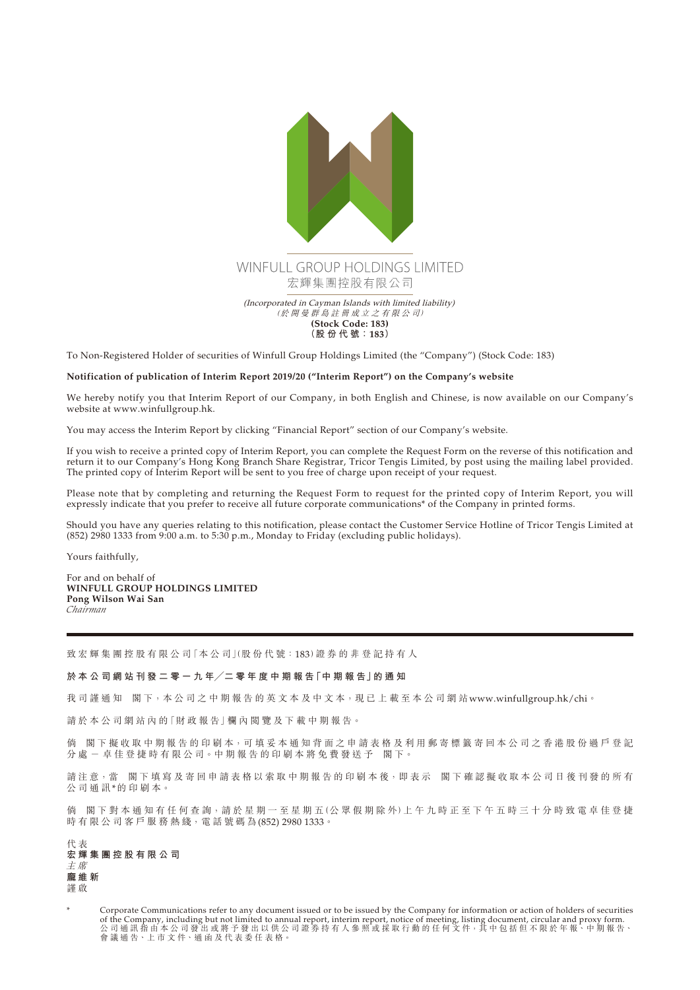

To Non-Registered Holder of securities of Winfull Group Holdings Limited (the "Company") (Stock Code: 183)

## **Notification of publication of Interim Report 2019/20 ("Interim Report") on the Company's website**

We hereby notify you that Interim Report of our Company, in both English and Chinese, is now available on our Company's website at www.winfullgroup.hk.

You may access the Interim Report by clicking "Financial Report" section of our Company's website.

If you wish to receive a printed copy of Interim Report, you can complete the Request Form on the reverse of this notification and return it to our Company's Hong Kong Branch Share Registrar, Tricor Tengis Limited, by post using the mailing label provided. The printed copy of Interim Report will be sent to you free of charge upon receipt of your request.

Please note that by completing and returning the Request Form to request for the printed copy of Interim Report, you will expressly indicate that you prefer to receive all future corporate communications\* of the Company in printed forms.

Should you have any queries relating to this notification, please contact the Customer Service Hotline of Tricor Tengis Limited at (852) 2980 1333 from 9:00 a.m. to 5:30 p.m., Monday to Friday (excluding public holidays).

Yours faithfully,

For and on behalf of **WINFULL GROUP HOLDINGS LIMITED Pong Wilson Wai San** *Chairman*

致 宏 輝 集 團 控 股 有 限 公 司 「本 公 司 |(股 份 代 號 : 183) 證 券 的 非 登 記 持 有 人

## **於 本 公 司 網 站 刊 發 二 零 一 九 年╱二 零 年 度 中 期 報 告「中 期 報 告」的 通 知**

我司謹通知 閣下,本公司之中期報告的英文本及中文本,現已上載至本公司網站<www.winfullgroup.hk/chi>。

請於本公司網站內的「財政報告」欄內閱覽及下載中期報告。

倘 閣下 擬 收 取 中 期 報 告 的 印 刷 本, 可 填 妥 本 通 知 背 面 之 申 請 表 格 及 利 用 郵 寄 標 籤 寄 回 本 公 司 之 香 港 股 份 過 戶 登 記 分 處 - 卓 佳 登 捷 時 有 限 公 司。中 期 報 告 的 印 刷 本 將 免 費 發 送 予 閣 下。

請注意,當 閣下填寫及寄回申請表格以索取中期報告的印刷本後,即表示 閣下確認擬收取本公司日後刊發的所有 公司通訊\*的印刷本。

倘 閣下對本通知有任何查詢,請於星期一至星期五(公眾假期除外)上午九時正至下午五時三十分時致電卓佳登捷 時 有 限 公 司 客 戶 服 務 熱 綫, 電 話 號 碼 為 (852) 2980 1333。

代 表 **宏輝集團控股有限公司** 主 席 **龐維新** 謹 啟

Corporate Communications refer to any document issued or to be issued by the Company for information or action of holders of securities of the Company, including but not limited to annual report, interim report, notice of meeting, listing document, circular and proxy form. 公 司 通 訊 指 由 本 公 司 發 出 或 將 予 發 出 以 供 公 司 證 券 持 有 人 參 照 或 採 取 行 動 的 任 何 文 件,其 中 包 括 但 不 限 於 年 報、中 期 報 告、 會 議 通 告、上 市 文 件、通 函 及 代 表 委 任 表 格。